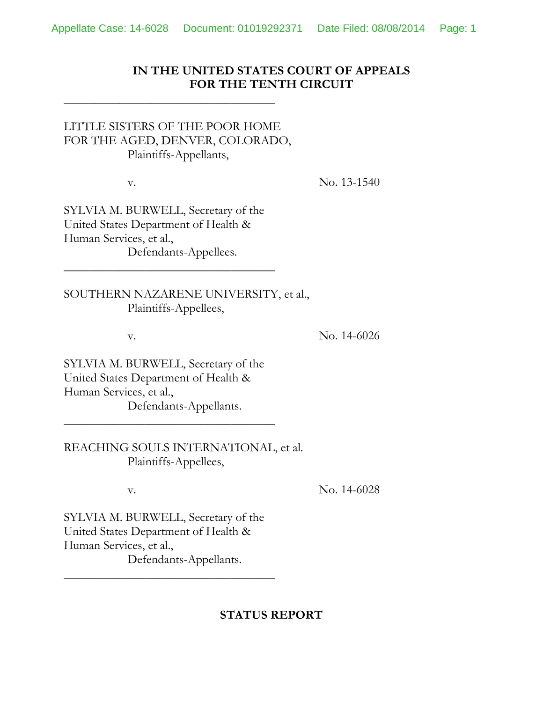## **IN THE UNITED STATES COURT OF APPEALS FOR THE TENTH CIRCUIT**

## LITTLE SISTERS OF THE POOR HOME FOR THE AGED, DENVER, COLORADO, Plaintiffs-Appellants,

\_\_\_\_\_\_\_\_\_\_\_\_\_\_\_\_\_\_\_\_\_\_\_\_\_\_\_\_\_\_\_\_\_\_

v. No. 13-1540

SYLVIA M. BURWELL, Secretary of the United States Department of Health & Human Services, et al., Defendants-Appellees.

\_\_\_\_\_\_\_\_\_\_\_\_\_\_\_\_\_\_\_\_\_\_\_\_\_\_\_\_\_\_\_\_\_\_

SOUTHERN NAZARENE UNIVERSITY, et al., Plaintiffs-Appellees,

v. No. 14-6026

SYLVIA M. BURWELL, Secretary of the United States Department of Health & Human Services, et al., Defendants-Appellants.

\_\_\_\_\_\_\_\_\_\_\_\_\_\_\_\_\_\_\_\_\_\_\_\_\_\_\_\_\_\_\_\_\_\_

REACHING SOULS INTERNATIONAL, et al. Plaintiffs-Appellees,

v. No. 14-6028

SYLVIA M. BURWELL, Secretary of the United States Department of Health & Human Services, et al., Defendants-Appellants.

\_\_\_\_\_\_\_\_\_\_\_\_\_\_\_\_\_\_\_\_\_\_\_\_\_\_\_\_\_\_\_\_\_\_

## **STATUS REPORT**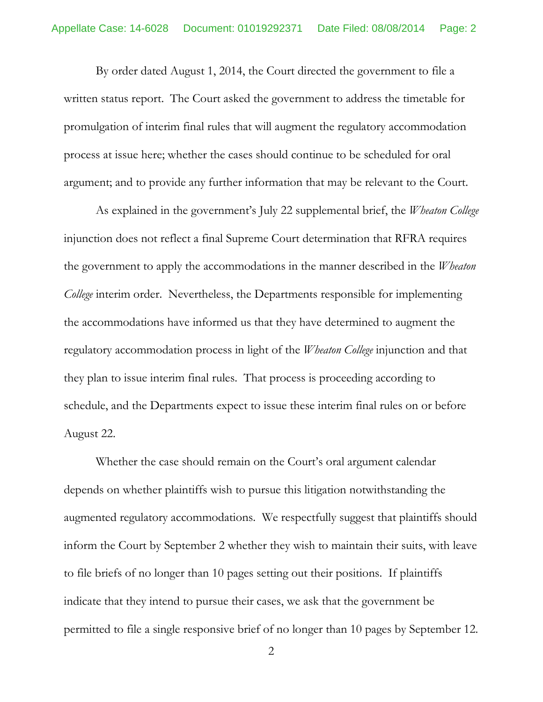By order dated August 1, 2014, the Court directed the government to file a written status report. The Court asked the government to address the timetable for promulgation of interim final rules that will augment the regulatory accommodation process at issue here; whether the cases should continue to be scheduled for oral argument; and to provide any further information that may be relevant to the Court.

As explained in the government's July 22 supplemental brief, the *Wheaton College* injunction does not reflect a final Supreme Court determination that RFRA requires the government to apply the accommodations in the manner described in the *Wheaton College* interim order. Nevertheless, the Departments responsible for implementing the accommodations have informed us that they have determined to augment the regulatory accommodation process in light of the *Wheaton College* injunction and that they plan to issue interim final rules. That process is proceeding according to schedule, and the Departments expect to issue these interim final rules on or before August 22.

Whether the case should remain on the Court's oral argument calendar depends on whether plaintiffs wish to pursue this litigation notwithstanding the augmented regulatory accommodations. We respectfully suggest that plaintiffs should inform the Court by September 2 whether they wish to maintain their suits, with leave to file briefs of no longer than 10 pages setting out their positions. If plaintiffs indicate that they intend to pursue their cases, we ask that the government be permitted to file a single responsive brief of no longer than 10 pages by September 12.

2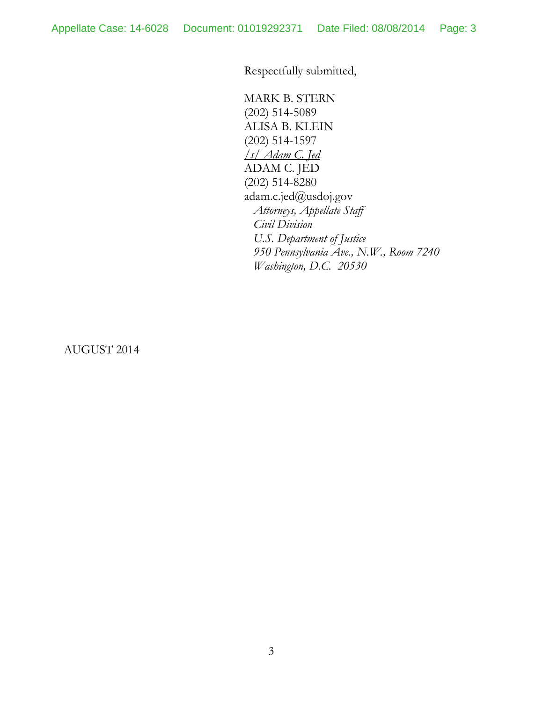Respectfully submitted,

MARK B. STERN (202) 514-5089 ALISA B. KLEIN (202) 514-1597 */s/ Adam C. Jed*  ADAM C. JED (202) 514-8280 adam.c.jed@usdoj.gov  *Attorneys, Appellate Staff Civil Division U.S. Department of Justice 950 Pennsylvania Ave., N.W., Room 7240 Washington, D.C. 20530*

AUGUST 2014